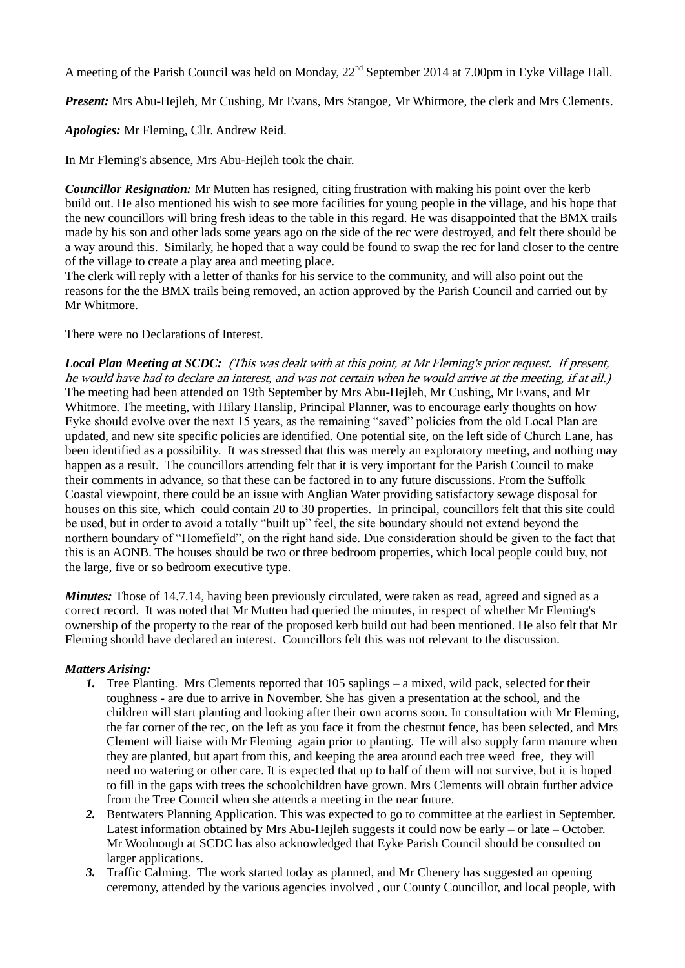A meeting of the Parish Council was held on Monday,  $22<sup>nd</sup>$  September 2014 at 7.00pm in Eyke Village Hall.

*Present:* Mrs Abu-Hejleh, Mr Cushing, Mr Evans, Mrs Stangoe, Mr Whitmore, the clerk and Mrs Clements.

*Apologies:* Mr Fleming, Cllr. Andrew Reid.

In Mr Fleming's absence, Mrs Abu-Hejleh took the chair.

*Councillor Resignation:* Mr Mutten has resigned, citing frustration with making his point over the kerb build out. He also mentioned his wish to see more facilities for young people in the village, and his hope that the new councillors will bring fresh ideas to the table in this regard. He was disappointed that the BMX trails made by his son and other lads some years ago on the side of the rec were destroyed, and felt there should be a way around this. Similarly, he hoped that a way could be found to swap the rec for land closer to the centre of the village to create a play area and meeting place.

The clerk will reply with a letter of thanks for his service to the community, and will also point out the reasons for the the BMX trails being removed, an action approved by the Parish Council and carried out by Mr Whitmore.

There were no Declarations of Interest.

*Local Plan Meeting at SCDC:* (This was dealt with at this point, at Mr Fleming's prior request. If present, he would have had to declare an interest, and was not certain when he would arrive at the meeting, if at all.) The meeting had been attended on 19th September by Mrs Abu-Hejleh, Mr Cushing, Mr Evans, and Mr Whitmore. The meeting, with Hilary Hanslip, Principal Planner, was to encourage early thoughts on how Eyke should evolve over the next 15 years, as the remaining "saved" policies from the old Local Plan are updated, and new site specific policies are identified. One potential site, on the left side of Church Lane, has been identified as a possibility. It was stressed that this was merely an exploratory meeting, and nothing may happen as a result. The councillors attending felt that it is very important for the Parish Council to make their comments in advance, so that these can be factored in to any future discussions. From the Suffolk Coastal viewpoint, there could be an issue with Anglian Water providing satisfactory sewage disposal for houses on this site, which could contain 20 to 30 properties. In principal, councillors felt that this site could be used, but in order to avoid a totally "built up" feel, the site boundary should not extend beyond the northern boundary of "Homefield", on the right hand side. Due consideration should be given to the fact that this is an AONB. The houses should be two or three bedroom properties, which local people could buy, not the large, five or so bedroom executive type.

*Minutes:* Those of 14.7.14, having been previously circulated, were taken as read, agreed and signed as a correct record. It was noted that Mr Mutten had queried the minutes, in respect of whether Mr Fleming's ownership of the property to the rear of the proposed kerb build out had been mentioned. He also felt that Mr Fleming should have declared an interest. Councillors felt this was not relevant to the discussion.

# *Matters Arising:*

- *1.* Tree Planting. Mrs Clements reported that 105 saplings a mixed, wild pack, selected for their toughness - are due to arrive in November. She has given a presentation at the school, and the children will start planting and looking after their own acorns soon. In consultation with Mr Fleming, the far corner of the rec, on the left as you face it from the chestnut fence, has been selected, and Mrs Clement will liaise with Mr Fleming again prior to planting. He will also supply farm manure when they are planted, but apart from this, and keeping the area around each tree weed free, they will need no watering or other care. It is expected that up to half of them will not survive, but it is hoped to fill in the gaps with trees the schoolchildren have grown. Mrs Clements will obtain further advice from the Tree Council when she attends a meeting in the near future.
- *2.* Bentwaters Planning Application. This was expected to go to committee at the earliest in September. Latest information obtained by Mrs Abu-Hejleh suggests it could now be early – or late – October. Mr Woolnough at SCDC has also acknowledged that Eyke Parish Council should be consulted on larger applications.
- *3.* Traffic Calming. The work started today as planned, and Mr Chenery has suggested an opening ceremony, attended by the various agencies involved , our County Councillor, and local people, with